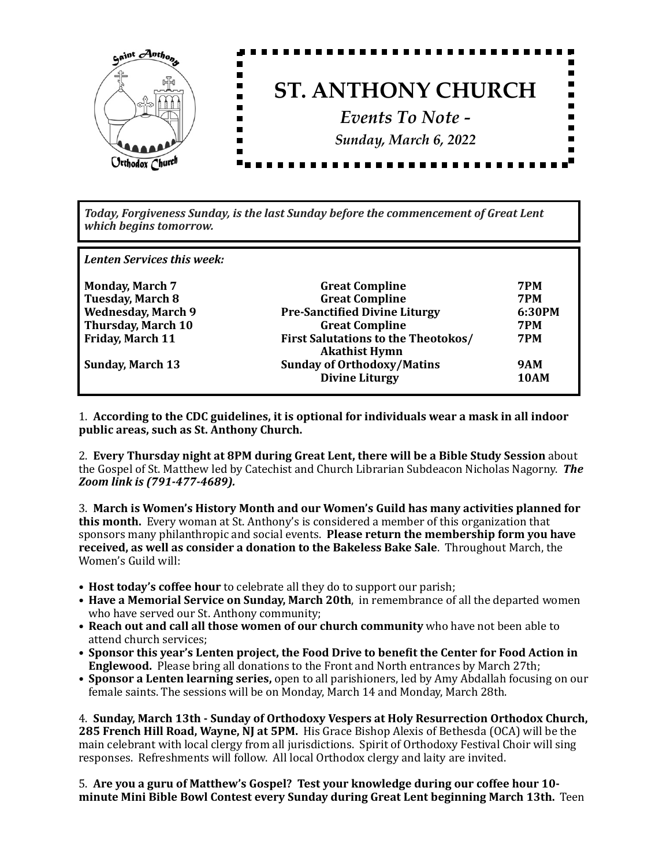

Today, Forgiveness Sunday, is the last Sunday before the commencement of Great Lent *which begins tomorrow.*

Lenten Services this week:

| <b>Monday, March 7</b>    | <b>Great Compline</b>                                              | <b>7PM</b>  |
|---------------------------|--------------------------------------------------------------------|-------------|
| <b>Tuesday, March 8</b>   | <b>Great Compline</b>                                              | <b>7PM</b>  |
| <b>Wednesday, March 9</b> | <b>Pre-Sanctified Divine Liturgy</b>                               | 6:30PM      |
| <b>Thursday, March 10</b> | <b>Great Compline</b>                                              | <b>7PM</b>  |
| <b>Friday, March 11</b>   | <b>First Salutations to the Theotokos/</b><br><b>Akathist Hymn</b> | <b>7PM</b>  |
| <b>Sunday, March 13</b>   | <b>Sunday of Orthodoxy/Matins</b>                                  | <b>9AM</b>  |
|                           | <b>Divine Liturgy</b>                                              | <b>10AM</b> |
|                           |                                                                    |             |

1. According to the CDC guidelines, it is optional for individuals wear a mask in all indoor public areas, such as St. Anthony Church.

2. **Every Thursday night at 8PM during Great Lent, there will be a Bible Study Session** about the Gospel of St. Matthew led by Catechist and Church Librarian Subdeacon Nicholas Nagorny. The *Zoom link is (791-477-4689).*

3. March is Women's History Month and our Women's Guild has many activities planned for **this month.** Every woman at St. Anthony's is considered a member of this organization that sponsors many philanthropic and social events. Please return the membership form you have **received, as well as consider a donation to the Bakeless Bake Sale**. Throughout March, the Women's Guild will:

- **Host today's coffee hour** to celebrate all they do to support our parish;
- Have a Memorial Service on Sunday, March 20th, in remembrance of all the departed women who have served our St. Anthony community;
- Reach out and call all those women of our church community who have not been able to attend church services;
- Sponsor this year's Lenten project, the Food Drive to benefit the Center for Food Action in **Englewood.** Please bring all donations to the Front and North entrances by March 27th;
- Sponsor a Lenten learning series, open to all parishioners, led by Amy Abdallah focusing on our female saints. The sessions will be on Monday, March 14 and Monday, March 28th.

4. Sunday, March 13th - Sunday of Orthodoxy Vespers at Holy Resurrection Orthodox Church, **285 French Hill Road, Wayne, NJ at 5PM.** His Grace Bishop Alexis of Bethesda (OCA) will be the main celebrant with local clergy from all jurisdictions. Spirit of Orthodoxy Festival Choir will sing responses. Refreshments will follow. All local Orthodox clergy and laity are invited.

5. Are you a guru of Matthew's Gospel? Test your knowledge during our coffee hour 10**minute Mini Bible Bowl Contest every Sunday during Great Lent beginning March 13th.** Teen